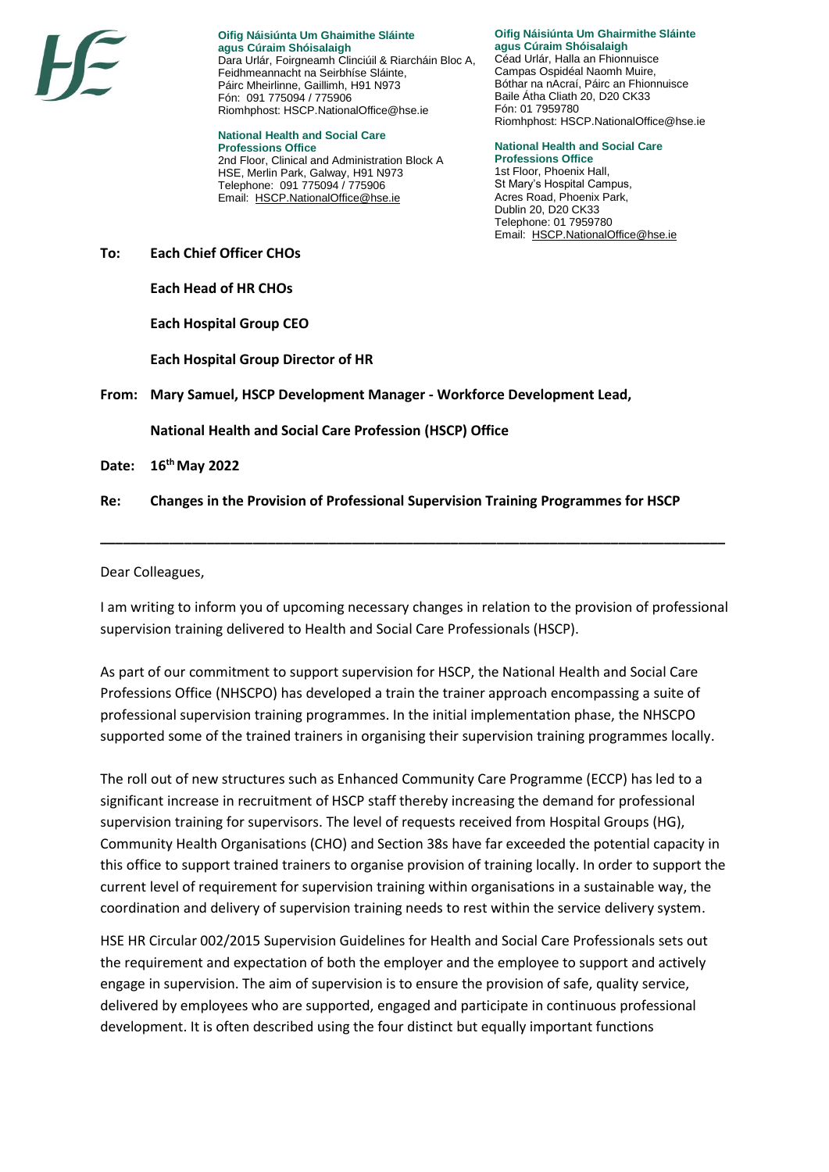

**Oifig Náisiúnta Um Ghaimithe Sláinte agus Cúraim Shóisalaigh** Dara Urlár, Foirgneamh Clinciúil & Riarcháin Bloc A. Feidhmeannacht na Seirbhíse Sláinte, Páirc Mheirlinne, Gaillimh, H91 N973 Fón: 091 775094 / 775906 Riomhphost: HSCP.NationalOffice@hse.ie

**National Health and Social Care Professions Office** 2nd Floor, Clinical and Administration Block A HSE, Merlin Park, Galway, H91 N973 Telephone: 091 775094 / 775906 Email: HSCP.NationalOffice@hse.ie

**Oifig Náisiúnta Um Ghairmithe Sláinte agus Cúraim Shóisalaigh** Céad Urlár, Halla an Fhionnuisce Campas Ospidéal Naomh Muire, Bóthar na nAcraí, Páirc an Fhionnuisce Baile Átha Cliath 20, D20 CK33 Fón: 01 7959780 Riomhphost: HSCP.NationalOffice@hse.ie

**National Health and Social Care Professions Office** 1st Floor, Phoenix Hall, St Mary's Hospital Campus, Acres Road, Phoenix Park, Dublin 20, D20 CK33 Telephone: 01 7959780 Email: HSCP.NationalOffice@hse.ie

**To: Each Chief Officer CHOs** 

**Each Head of HR CHOs** 

**Each Hospital Group CEO** 

**Each Hospital Group Director of HR** 

**From: Mary Samuel, HSCP Development Manager - Workforce Development Lead,**

**National Health and Social Care Profession (HSCP) Office** 

**Date: 16th May 2022**

**Re: Changes in the Provision of Professional Supervision Training Programmes for HSCP**

Dear Colleagues,

I am writing to inform you of upcoming necessary changes in relation to the provision of professional supervision training delivered to Health and Social Care Professionals (HSCP).

**\_\_\_\_\_\_\_\_\_\_\_\_\_\_\_\_\_\_\_\_\_\_\_\_\_\_\_\_\_\_\_\_\_\_\_\_\_\_\_\_\_\_\_\_\_\_\_\_\_\_\_\_\_\_\_\_\_\_\_\_\_\_\_\_\_\_\_\_\_\_\_\_\_\_\_\_\_\_\_\_\_\_**

As part of our commitment to support supervision for HSCP, the National Health and Social Care Professions Office (NHSCPO) has developed a train the trainer approach encompassing a suite of professional supervision training programmes. In the initial implementation phase, the NHSCPO supported some of the trained trainers in organising their supervision training programmes locally.

The roll out of new structures such as Enhanced Community Care Programme (ECCP) has led to a significant increase in recruitment of HSCP staff thereby increasing the demand for professional supervision training for supervisors. The level of requests received from Hospital Groups (HG), Community Health Organisations (CHO) and Section 38s have far exceeded the potential capacity in this office to support trained trainers to organise provision of training locally. In order to support the current level of requirement for supervision training within organisations in a sustainable way, the coordination and delivery of supervision training needs to rest within the service delivery system.

HSE HR Circular 002/2015 Supervision Guidelines for Health and Social Care Professionals sets out the requirement and expectation of both the employer and the employee to support and actively engage in supervision. The aim of supervision is to ensure the provision of safe, quality service, delivered by employees who are supported, engaged and participate in continuous professional development. It is often described using the four distinct but equally important functions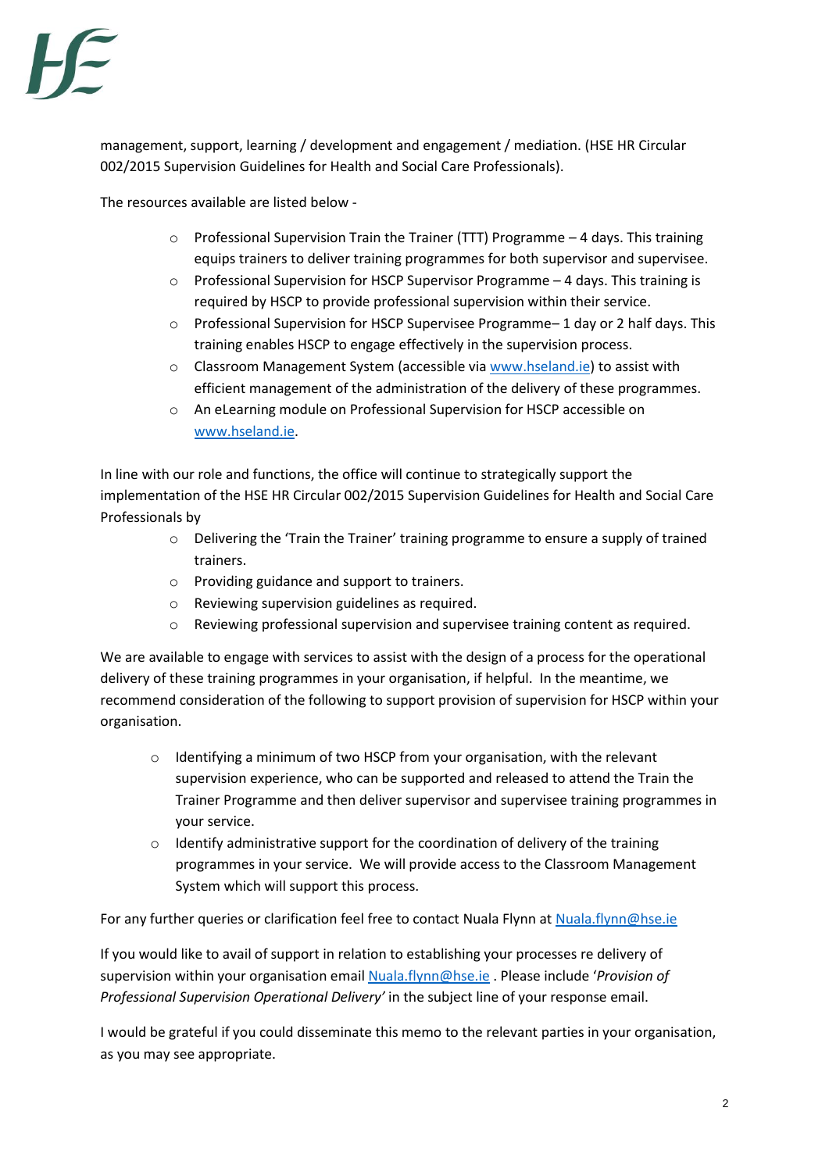

management, support, learning / development and engagement / mediation. (HSE HR Circular 002/2015 Supervision Guidelines for Health and Social Care Professionals).

The resources available are listed below -

- $\circ$  Professional Supervision Train the Trainer (TTT) Programme  $-4$  days. This training equips trainers to deliver training programmes for both supervisor and supervisee.
- $\circ$  Professional Supervision for HSCP Supervisor Programme 4 days. This training is required by HSCP to provide professional supervision within their service.
- $\circ$  Professional Supervision for HSCP Supervisee Programme– 1 day or 2 half days. This training enables HSCP to engage effectively in the supervision process.
- o Classroom Management System (accessible via www.hseland.ie) to assist with efficient management of the administration of the delivery of these programmes.
- o An eLearning module on Professional Supervision for HSCP accessible on www.hseland.ie.

In line with our role and functions, the office will continue to strategically support the implementation of the HSE HR Circular 002/2015 Supervision Guidelines for Health and Social Care Professionals by

- $\circ$  Delivering the 'Train the Trainer' training programme to ensure a supply of trained trainers.
- o Providing guidance and support to trainers.
- o Reviewing supervision guidelines as required.
- o Reviewing professional supervision and supervisee training content as required.

We are available to engage with services to assist with the design of a process for the operational delivery of these training programmes in your organisation, if helpful. In the meantime, we recommend consideration of the following to support provision of supervision for HSCP within your organisation.

- $\circ$  Identifying a minimum of two HSCP from your organisation, with the relevant supervision experience, who can be supported and released to attend the Train the Trainer Programme and then deliver supervisor and supervisee training programmes in your service.
- $\circ$  Identify administrative support for the coordination of delivery of the training programmes in your service. We will provide access to the Classroom Management System which will support this process.

For any further queries or clarification feel free to contact Nuala Flynn at Nuala.flynn@hse.ie

If you would like to avail of support in relation to establishing your processes re delivery of supervision within your organisation email Nuala.flynn@hse.ie . Please include '*Provision of Professional Supervision Operational Delivery'* in the subject line of your response email.

I would be grateful if you could disseminate this memo to the relevant parties in your organisation, as you may see appropriate.